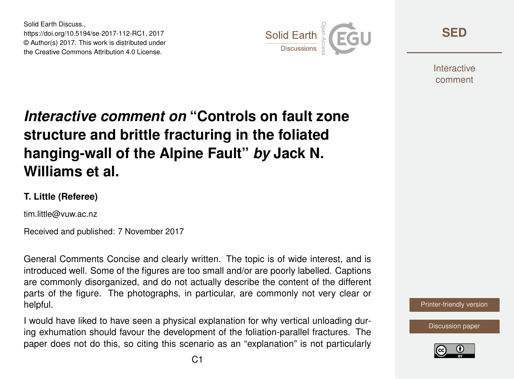Solid Earth Discuss., https://doi.org/10.5194/se-2017-112-RC1, 2017 © Author(s) 2017. This work is distributed under the Creative Commons Attribution 4.0 License.



**[SED](https://www.solid-earth-discuss.net/)**

**Interactive** comment

## *Interactive comment on* **"Controls on fault zone structure and brittle fracturing in the foliated hanging-wall of the Alpine Fault"** *by* **Jack N. Williams et al.**

## **T. Little (Referee)**

tim.little@vuw.ac.nz

Received and published: 7 November 2017

General Comments Concise and clearly written. The topic is of wide interest, and is introduced well. Some of the figures are too small and/or are poorly labelled. Captions are commonly disorganized, and do not actually describe the content of the different parts of the figure. The photographs, in particular, are commonly not very clear or helpful.

I would have liked to have seen a physical explanation for why vertical unloading during exhumation should favour the development of the foliation-parallel fractures. The paper does not do this, so citing this scenario as an "explanation" is not particularly



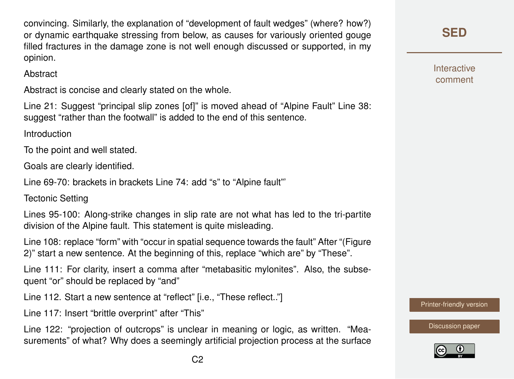convincing. Similarly, the explanation of "development of fault wedges" (where? how?) or dynamic earthquake stressing from below, as causes for variously oriented gouge filled fractures in the damage zone is not well enough discussed or supported, in my opinion.

**Abstract** 

Abstract is concise and clearly stated on the whole.

Line 21: Suggest "principal slip zones [of]" is moved ahead of "Alpine Fault" Line 38: suggest "rather than the footwall" is added to the end of this sentence.

Introduction

To the point and well stated.

Goals are clearly identified.

Line 69-70: brackets in brackets Line 74: add "s" to "Alpine fault"'

Tectonic Setting

Lines 95-100: Along-strike changes in slip rate are not what has led to the tri-partite division of the Alpine fault. This statement is quite misleading.

Line 108: replace "form" with "occur in spatial sequence towards the fault" After "(Figure 2)" start a new sentence. At the beginning of this, replace "which are" by "These".

Line 111: For clarity, insert a comma after "metabasitic mylonites". Also, the subsequent "or" should be replaced by "and"

Line 112. Start a new sentence at "reflect" [i.e., "These reflect.."]

Line 117: Insert "brittle overprint" after "This"

Line 122: "projection of outcrops" is unclear in meaning or logic, as written. "Measurements" of what? Why does a seemingly artificial projection process at the surface **[SED](https://www.solid-earth-discuss.net/)**

**Interactive** comment

[Printer-friendly version](https://www.solid-earth-discuss.net/se-2017-112/se-2017-112-RC1-print.pdf)

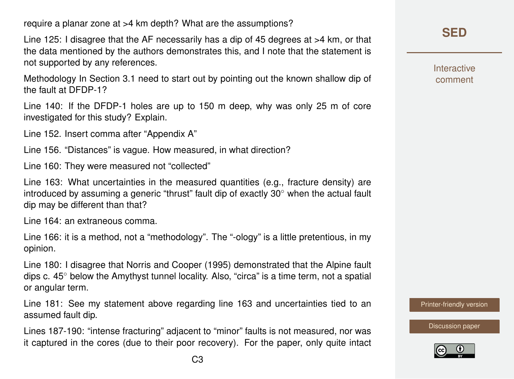require a planar zone at >4 km depth? What are the assumptions?

Line 125: I disagree that the AF necessarily has a dip of 45 degrees at >4 km, or that the data mentioned by the authors demonstrates this, and I note that the statement is not supported by any references.

Methodology In Section 3.1 need to start out by pointing out the known shallow dip of the fault at DFDP-1?

Line 140: If the DFDP-1 holes are up to 150 m deep, why was only 25 m of core investigated for this study? Explain.

Line 152. Insert comma after "Appendix A"

Line 156. "Distances" is vague. How measured, in what direction?

Line 160: They were measured not "collected"

Line 163: What uncertainties in the measured quantities (e.g., fracture density) are introduced by assuming a generic "thrust" fault dip of exactly 30◦ when the actual fault dip may be different than that?

Line 164: an extraneous comma.

Line 166: it is a method, not a "methodology". The "-ology" is a little pretentious, in my opinion.

Line 180: I disagree that Norris and Cooper (1995) demonstrated that the Alpine fault dips c. 45◦ below the Amythyst tunnel locality. Also, "circa" is a time term, not a spatial or angular term.

Line 181: See my statement above regarding line 163 and uncertainties tied to an assumed fault dip.

Lines 187-190: "intense fracturing" adjacent to "minor" faults is not measured, nor was it captured in the cores (due to their poor recovery). For the paper, only quite intact **Interactive** comment

[Printer-friendly version](https://www.solid-earth-discuss.net/se-2017-112/se-2017-112-RC1-print.pdf)

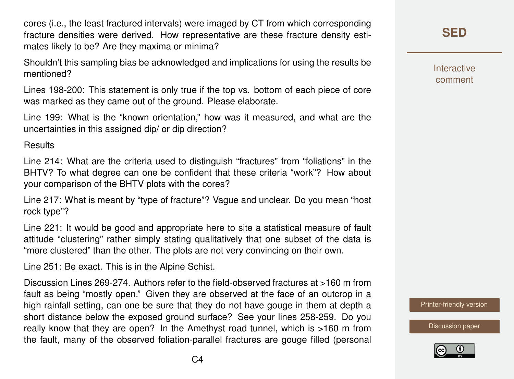cores (i.e., the least fractured intervals) were imaged by CT from which corresponding fracture densities were derived. How representative are these fracture density estimates likely to be? Are they maxima or minima?

Shouldn't this sampling bias be acknowledged and implications for using the results be mentioned?

Lines 198-200: This statement is only true if the top vs. bottom of each piece of core was marked as they came out of the ground. Please elaborate.

Line 199: What is the "known orientation," how was it measured, and what are the uncertainties in this assigned dip/ or dip direction?

**Results** 

Line 214: What are the criteria used to distinguish "fractures" from "foliations" in the BHTV? To what degree can one be confident that these criteria "work"? How about your comparison of the BHTV plots with the cores?

Line 217: What is meant by "type of fracture"? Vague and unclear. Do you mean "host rock type"?

Line 221: It would be good and appropriate here to site a statistical measure of fault attitude "clustering" rather simply stating qualitatively that one subset of the data is "more clustered" than the other. The plots are not very convincing on their own.

Line 251: Be exact. This is in the Alpine Schist.

Discussion Lines 269-274. Authors refer to the field-observed fractures at >160 m from fault as being "mostly open." Given they are observed at the face of an outcrop in a high rainfall setting, can one be sure that they do not have gouge in them at depth a short distance below the exposed ground surface? See your lines 258-259. Do you really know that they are open? In the Amethyst road tunnel, which is >160 m from the fault, many of the observed foliation-parallel fractures are gouge filled (personal **[SED](https://www.solid-earth-discuss.net/)**

Interactive comment

[Printer-friendly version](https://www.solid-earth-discuss.net/se-2017-112/se-2017-112-RC1-print.pdf)

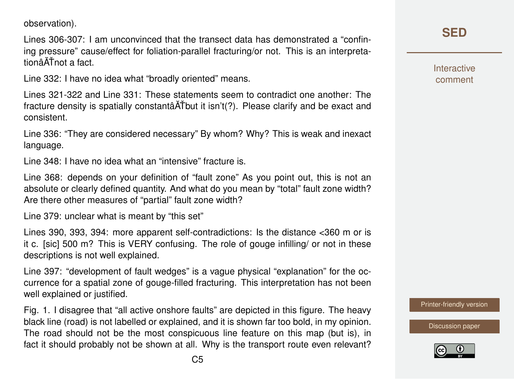observation).

Lines 306-307: I am unconvinced that the transect data has demonstrated a "confining pressure" cause/effect for foliation-parallel fracturing/or not. This is an interpretationâĂŤnot a fact.

Line 332: I have no idea what "broadly oriented" means.

Lines 321-322 and Line 331: These statements seem to contradict one another: The fracture density is spatially constantâ $\tilde{A}$ Tbut it isn't(?). Please clarify and be exact and consistent.

Line 336: "They are considered necessary" By whom? Why? This is weak and inexact language.

Line 348: I have no idea what an "intensive" fracture is.

Line 368: depends on your definition of "fault zone" As you point out, this is not an absolute or clearly defined quantity. And what do you mean by "total" fault zone width? Are there other measures of "partial" fault zone width?

Line 379: unclear what is meant by "this set"

Lines 390, 393, 394: more apparent self-contradictions: Is the distance <360 m or is it c. [sic] 500 m? This is VERY confusing. The role of gouge infilling/ or not in these descriptions is not well explained.

Line 397: "development of fault wedges" is a vague physical "explanation" for the occurrence for a spatial zone of gouge-filled fracturing. This interpretation has not been well explained or justified.

Fig. 1. I disagree that "all active onshore faults" are depicted in this figure. The heavy black line (road) is not labelled or explained, and it is shown far too bold, in my opinion. The road should not be the most conspicuous line feature on this map (but is), in fact it should probably not be shown at all. Why is the transport route even relevant? **Interactive** comment

[Printer-friendly version](https://www.solid-earth-discuss.net/se-2017-112/se-2017-112-RC1-print.pdf)

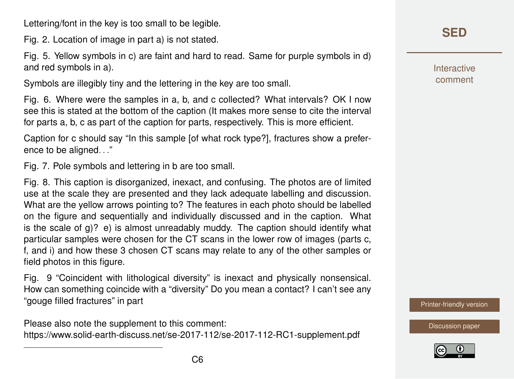Lettering/font in the key is too small to be legible.

Fig. 2. Location of image in part a) is not stated.

Fig. 5. Yellow symbols in c) are faint and hard to read. Same for purple symbols in d) and red symbols in a).

Symbols are illegibly tiny and the lettering in the key are too small.

Fig. 6. Where were the samples in a, b, and c collected? What intervals? OK I now see this is stated at the bottom of the caption (It makes more sense to cite the interval for parts a, b, c as part of the caption for parts, respectively. This is more efficient.

Caption for c should say "In this sample [of what rock type?], fractures show a preference to be aligned. . ."

Fig. 7. Pole symbols and lettering in b are too small.

Fig. 8. This caption is disorganized, inexact, and confusing. The photos are of limited use at the scale they are presented and they lack adequate labelling and discussion. What are the yellow arrows pointing to? The features in each photo should be labelled on the figure and sequentially and individually discussed and in the caption. What is the scale of  $q$ )? e) is almost unreadably muddy. The caption should identify what particular samples were chosen for the CT scans in the lower row of images (parts c, f, and i) and how these 3 chosen CT scans may relate to any of the other samples or field photos in this figure.

Fig. 9 "Coincident with lithological diversity" is inexact and physically nonsensical. How can something coincide with a "diversity" Do you mean a contact? I can't see any "gouge filled fractures" in part

Please also note the supplement to this comment: <https://www.solid-earth-discuss.net/se-2017-112/se-2017-112-RC1-supplement.pdf> Interactive comment

[Printer-friendly version](https://www.solid-earth-discuss.net/se-2017-112/se-2017-112-RC1-print.pdf)